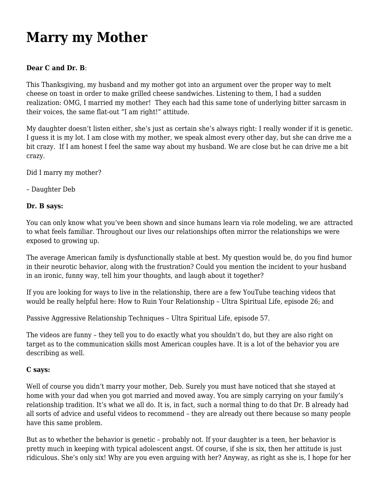## **[Marry my Mother](https://motifri.com/marry-my-mother/)**

## **Dear C and Dr. B**:

This Thanksgiving, my husband and my mother got into an argument over the proper way to melt cheese on toast in order to make grilled cheese sandwiches. Listening to them, I had a sudden realization: OMG, I married my mother! They each had this same tone of underlying bitter sarcasm in their voices, the same flat-out "I am right!" attitude.

My daughter doesn't listen either, she's just as certain she's always right: I really wonder if it is genetic. I guess it is my lot. I am close with my mother, we speak almost every other day, but she can drive me a bit crazy. If I am honest I feel the same way about my husband. We are close but he can drive me a bit crazy.

Did I marry my mother?

– Daughter Deb

## **Dr. B says:**

You can only know what you've been shown and since humans learn via role modeling, we are attracted to what feels familiar. Throughout our lives our relationships often mirror the relationships we were exposed to growing up.

The average American family is dysfunctionally stable at best. My question would be, do you find humor in their neurotic behavior, along with the frustration? Could you mention the incident to your husband in an ironic, funny way, tell him your thoughts, and laugh about it together?

If you are looking for ways to live in the relationship, there are a few YouTube teaching videos that would be really helpful here: How to Ruin Your Relationship – Ultra Spiritual Life, episode 26; and

Passive Aggressive Relationship Techniques – Ultra Spiritual Life, episode 57.

The videos are funny – they tell you to do exactly what you shouldn't do, but they are also right on target as to the communication skills most American couples have. It is a lot of the behavior you are describing as well.

## **C says:**

Well of course you didn't marry your mother, Deb. Surely you must have noticed that she stayed at home with your dad when you got married and moved away. You are simply carrying on your family's relationship tradition. It's what we all do. It is, in fact, such a normal thing to do that Dr. B already had all sorts of advice and useful videos to recommend – they are already out there because so many people have this same problem.

But as to whether the behavior is genetic – probably not. If your daughter is a teen, her behavior is pretty much in keeping with typical adolescent angst. Of course, if she is six, then her attitude is just ridiculous. She's only six! Why are you even arguing with her? Anyway, as right as she is, I hope for her